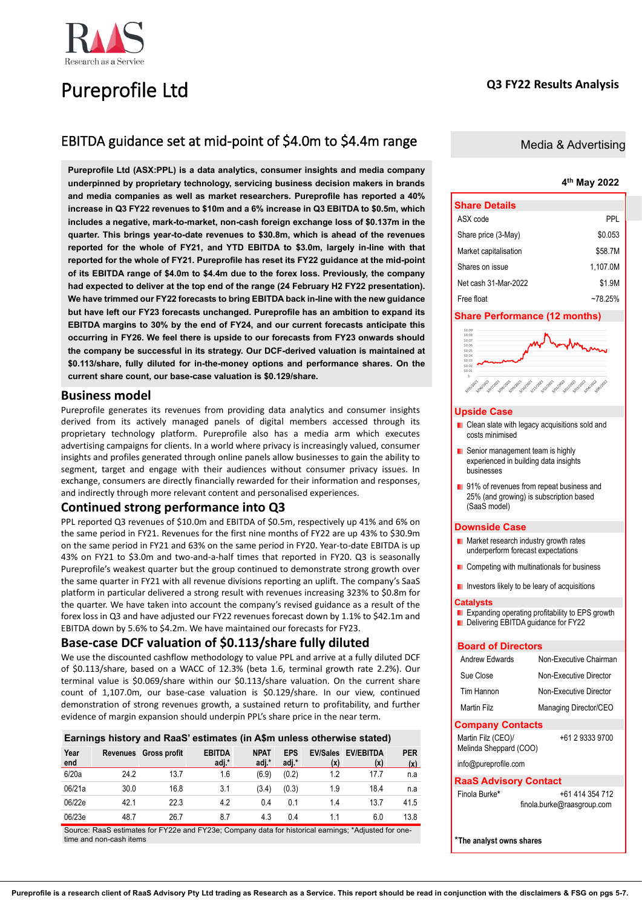# Pureprofile Ltd

# **Q3 FY22 Results Analysis**

# EBITDA guidance set at mid-point of \$4.0m to \$4.4m range

**Pureprofile Ltd (ASX:PPL) is a data analytics, consumer insights and media company underpinned by proprietary technology, servicing business decision makers in brands and media companies as well as market researchers. Pureprofile has reported a 40% increase in Q3 FY22 revenues to \$10m and a 6% increase in Q3 EBITDA to \$0.5m, which includes a negative, mark-to-market, non-cash foreign exchange loss of \$0.137m in the quarter. This brings year-to-date revenues to \$30.8m, which is ahead of the revenues reported for the whole of FY21, and YTD EBITDA to \$3.0m, largely in-line with that reported for the whole of FY21. Pureprofile has reset its FY22 guidance at the mid-point of its EBITDA range of \$4.0m to \$4.4m due to the forex loss. Previously, the company had expected to deliver at the top end of the range (24 February H2 FY22 presentation). We have trimmed our FY22 forecasts to bring EBITDA back in-line with the new guidance but have left our FY23 forecasts unchanged. Pureprofile has an ambition to expand its EBITDA margins to 30% by the end of FY24, and our current forecasts anticipate this occurring in FY26. We feel there is upside to our forecasts from FY23 onwards should the company be successful in its strategy. Our DCF-derived valuation is maintained at \$0.113/share, fully diluted for in-the-money options and performance shares. On the current share count, our base-case valuation is \$0.129/share.**

# **Business model**

Pureprofile generates its revenues from providing data analytics and consumer insights derived from its actively managed panels of digital members accessed through its proprietary technology platform. Pureprofile also has a media arm which executes advertising campaigns for clients. In a world where privacy is increasingly valued, consumer insights and profiles generated through online panels allow businesses to gain the ability to segment, target and engage with their audiences without consumer privacy issues. In exchange, consumers are directly financially rewarded for their information and responses, and indirectly through more relevant content and personalised experiences.

# **Continued strong performance into Q3**

PPL reported Q3 revenues of \$10.0m and EBITDA of \$0.5m, respectively up 41% and 6% on the same period in FY21. Revenues for the first nine months of FY22 are up 43% to \$30.9m on the same period in FY21 and 63% on the same period in FY20. Year-to-date EBITDA is up 43% on FY21 to \$3.0m and two-and-a-half times that reported in FY20. Q3 is seasonally Pureprofile's weakest quarter but the group continued to demonstrate strong growth over the same quarter in FY21 with all revenue divisions reporting an uplift. The company's SaaS platform in particular delivered a strong result with revenues increasing 323% to \$0.8m for the quarter. We have taken into account the company's revised guidance as a result of the forex loss in Q3 and have adjusted our FY22 revenues forecast down by 1.1% to \$42.1m and EBITDA down by 5.6% to \$4.2m. We have maintained our forecasts for FY23.

# **Base-case DCF valuation of \$0.113/share fully diluted**

We use the discounted cashflow methodology to value PPL and arrive at a fully diluted DCF of \$0.113/share, based on a WACC of 12.3% (beta 1.6, terminal growth rate 2.2%). Our terminal value is \$0.069/share within our \$0.113/share valuation. On the current share count of 1,107.0m, our base-case valuation is \$0.129/share. In our view, continued demonstration of strong revenues growth, a sustained return to profitability, and further evidence of margin expansion should underpin PPL's share price in the near term.

# **Earnings history and RaaS' estimates (in A\$m unless otherwise stated)**

| Year<br>end | Revenues | <b>Gross profit</b>                                                                                | <b>EBITDA</b><br>adj.* | <b>NPAT</b><br>adj.* | <b>EPS</b><br>adj.* | <b>EV/Sales</b><br>(x) | <b>EV/EBITDA</b><br>(x) | <b>PER</b><br>(x) |
|-------------|----------|----------------------------------------------------------------------------------------------------|------------------------|----------------------|---------------------|------------------------|-------------------------|-------------------|
| 6/20a       | 24.2     | 13.7                                                                                               | 1.6                    | (6.9)                | (0.2)               | 1.2                    | 17.7                    | n.a               |
| 06/21a      | 30.0     | 16.8                                                                                               | 3.1                    | (3.4)                | (0.3)               | 1.9                    | 18.4                    | n.a               |
| 06/22e      | 42.1     | 22.3                                                                                               | 4.2                    | 0.4                  | 0.1                 | 1.4                    | 13.7                    | 41.5              |
| 06/23e      | 48.7     | 26.7                                                                                               | 8.7                    | 4.3                  | 0.4                 | 11                     | 6.0                     | 13.8              |
|             |          | Source: RaaS ostimates for EV220 and EV23e: Company data for bistorical osmings: *Adjusted for one |                        |                      |                     |                        |                         |                   |

Source: RaaS estimates for FY22e and FY23e; Company data for historical earnings; \*Adjusted for onetime and non-cash items

# Media & Advertising

# **4 th May 2022**

| <b>Share Details</b>  |          |
|-----------------------|----------|
| ASX code              | PPL      |
| Share price (3-May)   | \$0.053  |
| Market capitalisation | \$58.7M  |
| Shares on issue       | 1.107.0M |
| Net cash 31-Mar-2022  | \$1.9M   |
| Free float            | ~78 25%  |

# **Share Performance (12 months)**



### **Upside Case**

- **Clean slate with legacy acquisitions sold and** costs minimised
- **Senior management team is highly** experienced in building data insights businesses
- 91% of revenues from repeat business and 25% (and growing) is subscription based (SaaS model)

### **Downside Case**

- **Market research industry growth rates** underperform forecast expectations
- **Competing with multinationals for business**
- **I** Investors likely to be leary of acquisitions

### **Catalysts**

**Expanding operating profitability to EPS growth** Delivering EBITDA guidance for FY22

# **Board of Directors**

| Andrew Edwards                               | Non-Executive Chairman                        |
|----------------------------------------------|-----------------------------------------------|
| Sue Close                                    | Non-Executive Director                        |
| Tim Hannon                                   | Non-Executive Director                        |
| Martin Filz                                  | Managing Director/CEO                         |
| <b>Company Contacts</b>                      |                                               |
| Martin Filz (CEO)/<br>Melinda Sheppard (COO) | +61 2 9333 9700                               |
| info@pureprofile.com                         |                                               |
| <b>RaaS Advisory Contact</b>                 |                                               |
| Finola Burke*                                | +61 414 354 712<br>finola.burke@raasgroup.com |
| *The analyst owns shares                     |                                               |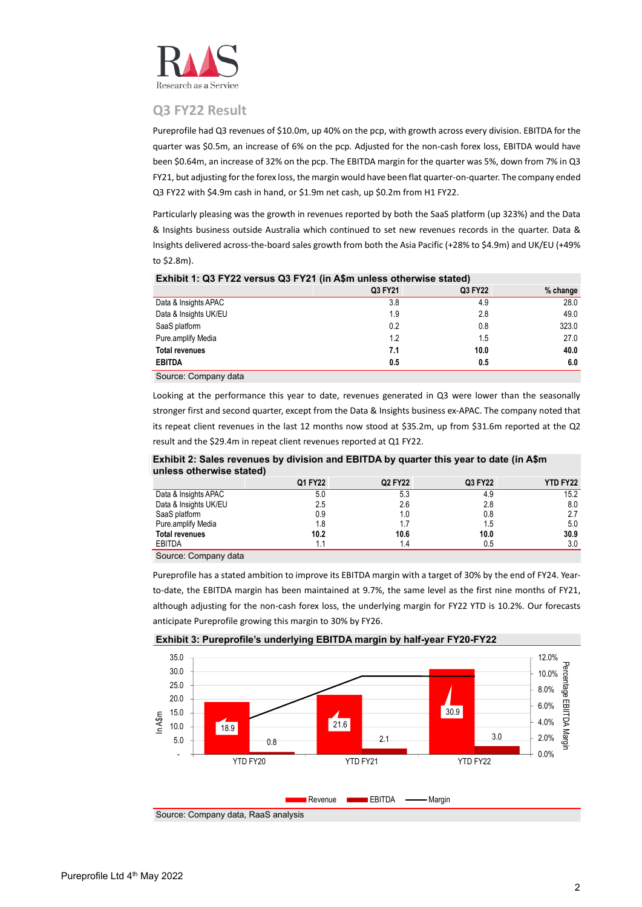

# **Q3 FY22 Result**

Pureprofile had Q3 revenues of \$10.0m, up 40% on the pcp, with growth across every division. EBITDA for the quarter was \$0.5m, an increase of 6% on the pcp. Adjusted for the non-cash forex loss, EBITDA would have been \$0.64m, an increase of 32% on the pcp. The EBITDA margin for the quarter was 5%, down from 7% in Q3 FY21, but adjusting for the forex loss, the margin would have been flat quarter-on-quarter. The company ended Q3 FY22 with \$4.9m cash in hand, or \$1.9m net cash, up \$0.2m from H1 FY22.

Particularly pleasing was the growth in revenues reported by both the SaaS platform (up 323%) and the Data & Insights business outside Australia which continued to set new revenues records in the quarter. Data & Insights delivered across-the-board sales growth from both the Asia Pacific (+28% to \$4.9m) and UK/EU (+49% to \$2.8m).

| $\blacksquare$                      |         |         |            |
|-------------------------------------|---------|---------|------------|
|                                     | Q3 FY21 | Q3 FY22 | $%$ change |
| Data & Insights APAC                | 3.8     | 4.9     | 28.0       |
| Data & Insights UK/EU               | 1.9     | 2.8     | 49.0       |
| SaaS platform                       | 0.2     | 0.8     | 323.0      |
| Pure.amplify Media                  | 1.2     | 1.5     | 27.0       |
| <b>Total revenues</b>               | 7.1     | 10.0    | 40.0       |
| <b>EBITDA</b>                       | 0.5     | 0.5     | 6.0        |
| $\sim$<br>$\sim$<br>$\cdot$ $\cdot$ |         |         |            |

# **Exhibit 1: Q3 FY22 versus Q3 FY21 (in A\$m unless otherwise stated)**

Source: Company data

Looking at the performance this year to date, revenues generated in Q3 were lower than the seasonally stronger first and second quarter, except from the Data & Insights business ex-APAC. The company noted that its repeat client revenues in the last 12 months now stood at \$35.2m, up from \$31.6m reported at the Q2 result and the \$29.4m in repeat client revenues reported at Q1 FY22.

**Exhibit 2: Sales revenues by division and EBITDA by quarter this year to date (in A\$m unless otherwise stated)**

|                                            | Q1 FY22 | Q2 FY22 | Q3 FY22 | <b>YTD FY22</b> |
|--------------------------------------------|---------|---------|---------|-----------------|
| Data & Insights APAC                       | 5.0     | 5.3     | 4.9     | 15.2            |
| Data & Insights UK/EU                      | 2.5     | 2.6     | 2.8     | 8.0             |
| SaaS platform                              | 0.9     | 1.0     | 0.8     | 2.7             |
| Pure.amplify Media                         | 1.8     | 17      | 1.5     | 5.0             |
| <b>Total revenues</b>                      | 10.2    | 10.6    | 10.0    | 30.9            |
| <b>EBITDA</b>                              |         | 1.4     | 0.5     | 3.0             |
| $\sim$ $\sim$<br>$\sim$<br>$\cdot$ $\cdot$ |         |         |         |                 |

Source: Company data

Pureprofile has a stated ambition to improve its EBITDA margin with a target of 30% by the end of FY24. Yearto-date, the EBITDA margin has been maintained at 9.7%, the same level as the first nine months of FY21, although adjusting for the non-cash forex loss, the underlying margin for FY22 YTD is 10.2%. Our forecasts anticipate Pureprofile growing this margin to 30% by FY26.



**Exhibit 3: Pureprofile's underlying EBITDA margin by half-year FY20-FY22**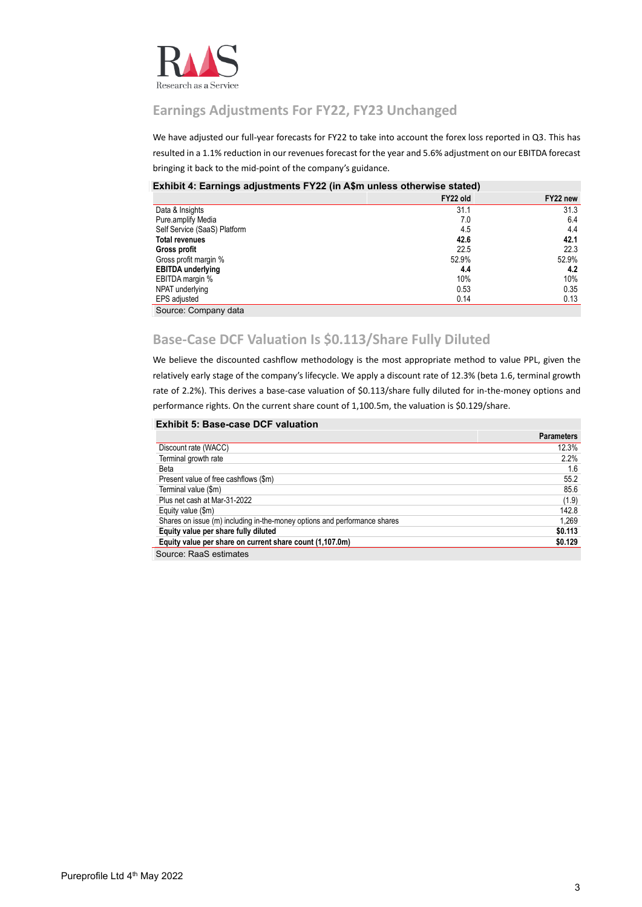

# **Earnings Adjustments For FY22, FY23 Unchanged**

We have adjusted our full-year forecasts for FY22 to take into account the forex loss reported in Q3. This has resulted in a 1.1% reduction in our revenues forecast for the year and 5.6% adjustment on our EBITDA forecast bringing it back to the mid-point of the company's guidance.

# **Exhibit 4: Earnings adjustments FY22 (in A\$m unless otherwise stated)**

|                              | FY22 old | FY22 new |
|------------------------------|----------|----------|
| Data & Insights              | 31.1     | 31.3     |
| Pure.amplify Media           | 7.0      | 6.4      |
| Self Service (SaaS) Platform | 4.5      | 4.4      |
| <b>Total revenues</b>        | 42.6     | 42.1     |
| Gross profit                 | 22.5     | 22.3     |
| Gross profit margin %        | 52.9%    | 52.9%    |
| <b>EBITDA</b> underlying     | 4.4      | 4.2      |
| EBITDA margin %              | 10%      | 10%      |
| NPAT underlying              | 0.53     | 0.35     |
| EPS adjusted                 | 0.14     | 0.13     |
| Source: Company data         |          |          |

# **Base-Case DCF Valuation Is \$0.113/Share Fully Diluted**

We believe the discounted cashflow methodology is the most appropriate method to value PPL, given the relatively early stage of the company's lifecycle. We apply a discount rate of 12.3% (beta 1.6, terminal growth rate of 2.2%). This derives a base-case valuation of \$0.113/share fully diluted for in-the-money options and performance rights. On the current share count of 1,100.5m, the valuation is \$0.129/share.

## **Exhibit 5: Base-case DCF valuation**

|                                                                           | <b>Parameters</b> |
|---------------------------------------------------------------------------|-------------------|
| Discount rate (WACC)                                                      | 12.3%             |
| Terminal growth rate                                                      | 2.2%              |
| <b>Beta</b>                                                               | 1.6               |
| Present value of free cashflows (\$m)                                     | 55.2              |
| Terminal value (\$m)                                                      | 85.6              |
| Plus net cash at Mar-31-2022                                              | (1.9)             |
| Equity value (\$m)                                                        | 142.8             |
| Shares on issue (m) including in-the-money options and performance shares | 1.269             |
| Equity value per share fully diluted                                      | \$0.113           |
| Equity value per share on current share count (1,107.0m)                  | \$0.129           |
| Source: RaaS estimates                                                    |                   |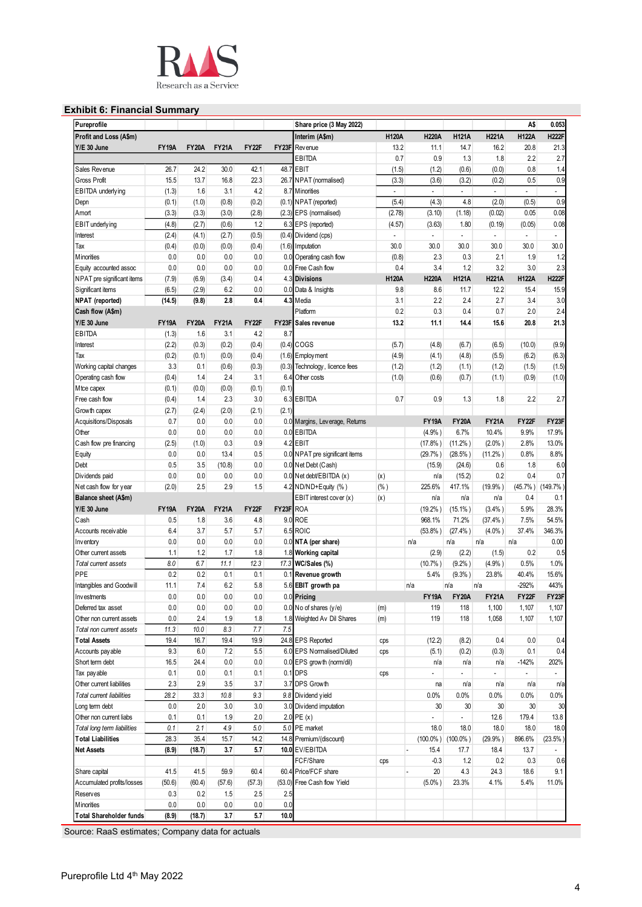

# **Exhibit 6: Financial Summary**

| Pureprofile                                  |              |               |              |              |             | Share price (3 May 2022)       |                          |                          |                          |                          | A\$                      | 0.053                    |
|----------------------------------------------|--------------|---------------|--------------|--------------|-------------|--------------------------------|--------------------------|--------------------------|--------------------------|--------------------------|--------------------------|--------------------------|
| Profit and Loss (A\$m)                       |              |               |              |              |             | Interim (A\$m)                 | <b>H120A</b>             | <b>H220A</b>             | <b>H121A</b>             | <b>H221A</b>             | <b>H122A</b>             | <b>H222F</b>             |
| Y/E 30 June                                  | <b>FY19A</b> | <b>FY20A</b>  | <b>FY21A</b> | FY22F        | FY23F       | Rev enue                       | 13.2                     | 11.1                     | 14.7                     | 16.2                     | 20.8                     | 21.3                     |
|                                              |              |               |              |              |             | EBITDA                         | 0.7                      | 0.9                      | 1.3                      | 1.8                      | 2.2                      | 2.7                      |
| Sales Revenue                                | 26.7         | 24.2          | 30.0         | 42.1         |             | 48.7 EBIT                      | (1.5)                    | (1.2)                    | (0.6)                    | (0.0)                    | 0.8                      | 1.4                      |
| Gross Profit                                 | 15.5         | 13.7          | 16.8         | 22.3         |             | 26.7 NPAT (normalised)         | (3.3)                    | (3.6)                    | (3.2)                    | (0.2)                    | 0.5                      | 0.9                      |
| EBITDA underlying                            | (1.3)        | 1.6           | 3.1          | 4.2          | 8.7         | <b>Minorities</b>              | $\overline{\phantom{a}}$ | $\blacksquare$           | $\overline{\phantom{a}}$ | $\blacksquare$           | $\overline{\phantom{a}}$ | $\overline{\phantom{a}}$ |
|                                              |              |               |              |              |             |                                |                          |                          | 4.8                      |                          |                          | 0.9                      |
| Depn                                         | (0.1)        | (1.0)         | (0.8)        | (0.2)        |             | (0.1) NPAT (reported)          | (5.4)                    | (4.3)                    |                          | (2.0)                    | (0.5)                    |                          |
| Amort                                        | (3.3)        | (3.3)         | (3.0)        | (2.8)        |             | (2.3) EPS (normalised)         | (2.78)                   | (3.10)                   | (1.18)                   | (0.02)                   | 0.05                     | 0.08                     |
| EBIT underlying                              | (4.8)        | (2.7)         | (0.6)        | 1.2          | 6.3         | EPS (reported)                 | (4.57)                   | (3.63)                   | 1.80                     | (0.19)                   | (0.05)                   | 0.08                     |
| Interest                                     | (2.4)        | (4.1)         | (2.7)        | (0.5)        |             | (0.4) Dividend (cps)           | ÷,                       | $\overline{\phantom{a}}$ | $\overline{a}$           | $\overline{\phantom{a}}$ | $\overline{\phantom{a}}$ |                          |
| Tax                                          | (0.4)        | (0.0)         | (0.0)        | (0.4)        |             | (1.6) Imputation               | 30.0                     | 30.0                     | 30.0                     | 30.0                     | 30.0                     | 30.0                     |
| Minorities                                   | 0.0          | 0.0           | 0.0          | 0.0          |             | 0.0 Operating cash flow        | (0.8)                    | 2.3                      | 0.3                      | 2.1                      | 1.9                      | 1.2                      |
| Equity accounted assoc                       | 0.0          | 0.0           | 0.0          | 0.0          |             | 0.0 Free Cash flow             | 0.4                      | 3.4                      | 1.2                      | 3.2                      | 3.0                      | 2.3                      |
| NPAT pre significant items                   | (7.9)        | (6.9)         | (3.4)        | 0.4          |             | 4.3 Divisions                  | <b>H120A</b>             | <b>H220A</b>             | <b>H121A</b>             | <b>H221A</b>             | <b>H122A</b>             | <b>H222F</b>             |
| Significant items                            | (6.5)        | (2.9)         | 6.2          | 0.0          |             | 0.0 Data & Insights            | 9.8                      | 8.6                      | 11.7                     | 12.2                     | 15.4                     | 15.9                     |
| NPAT (reported)                              | (14.5)       | (9.8)         | 2.8          | 0.4          | 4.3         | Media                          | 3.1                      | 2.2                      | 2.4                      | 2.7                      | 3.4                      | 3.0                      |
| Cash flow (A\$m)                             |              |               |              |              |             | Platform                       | 0.2                      | 0.3                      | 0.4                      | 0.7                      | 2.0                      | 2.4                      |
| Y/E 30 June                                  | <b>FY19A</b> | <b>FY20A</b>  | <b>FY21A</b> | <b>FY22F</b> | FY23F       | Sales revenue                  | 13.2                     | 11.1                     | 14.4                     | 15.6                     | 20.8                     | 21.3                     |
| <b>EBITDA</b>                                | (1.3)        | 1.6           | 3.1          | 4.2          | 8.7         |                                |                          |                          |                          |                          |                          |                          |
| Interest                                     | (2.2)        | (0.3)         | (0.2)        | (0.4)        |             | $(0.4)$ COGS                   | (5.7)                    | (4.8)                    | (6.7)                    | (6.5)                    | (10.0)                   | (9.9)                    |
|                                              |              |               |              |              |             |                                |                          |                          |                          |                          |                          |                          |
| Tax                                          | (0.2)        | (0.1)         | (0.0)        | (0.4)        |             | $(1.6)$ Employment             | (4.9)                    | (4.1)                    | (4.8)                    | (5.5)                    | (6.2)                    | (6.3)                    |
| Working capital changes                      | 3.3          | 0.1           | (0.6)        | (0.3)        | (0.3)       | Technology, licence fees       | (1.2)                    | (1.2)                    | (1.1)                    | (1.2)                    | (1.5)                    | (1.5)                    |
| Operating cash flow                          | (0.4)        | 1.4           | 2.4          | 3.1          | 6.4         | Other costs                    | (1.0)                    | (0.6)                    | (0.7)                    | (1.1)                    | (0.9)                    | (1.0)                    |
| Mtce capex                                   | (0.1)        | (0.0)         | (0.0)        | (0.1)        | (0.1)       |                                |                          |                          |                          |                          |                          |                          |
| Free cash flow                               | (0.4)        | 1.4           | 2.3          | 3.0          | 6.3         | <b>EBITDA</b>                  | 0.7                      | 0.9                      | 1.3                      | 1.8                      | 2.2                      | 2.7                      |
| Growth capex                                 | (2.7)        | (2.4)         | (2.0)        | (2.1)        | (2.1)       |                                |                          |                          |                          |                          |                          |                          |
| Acquisitions/Disposals                       | 0.7          | 0.0           | 0.0          | 0.0          |             | 0.0 Margins, Leverage, Returns |                          | <b>FY19A</b>             | <b>FY20A</b>             | <b>FY21A</b>             | <b>FY22F</b>             | FY23F                    |
| Other                                        | 0.0          | 0.0           | 0.0          | 0.0          |             | 0.0 EBITDA                     |                          | $(4.9%$ )                | 6.7%                     | 10.4%                    | 9.9%                     | 17.9%                    |
| Cash flow pre financing                      | (2.5)        | (1.0)         | 0.3          | 0.9          | 4.2         | <b>EBIT</b>                    |                          | $(17.8\%)$               | $(11.2\%)$               | $(2.0\%$ )               | 2.8%                     | 13.0%                    |
| Equity                                       | 0.0          | 0.0           | 13.4         | 0.5          |             | 0.0 NPAT pre significant items |                          | (29.7%                   | $(28.5\%)$               | $(11.2\%)$               | 0.8%                     | 8.8%                     |
| Debt                                         | 0.5          | 3.5           | (10.8)       | 0.0          |             | 0.0 Net Debt (Cash)            |                          | (15.9)                   | (24.6)                   | 0.6                      | 1.8                      | 6.0                      |
| Dividends paid                               | 0.0          | 0.0           | 0.0          | 0.0          |             | 0.0 Net debt/EBITDA (x)        | (x)                      | n/a                      | (15.2)                   | 0.2                      | 0.4                      | 0.7                      |
|                                              | (2.0)        | 2.5           | 2.9          | 1.5          |             | 4.2 ND/ND+Equity (%)           | (% )                     | 225.6%                   | 417.1%                   |                          |                          |                          |
| Net cash flow for year                       |              |               |              |              |             |                                |                          |                          |                          | (19.9% )                 |                          | (45.7%) (149.7%)         |
| Balance sheet (A\$m)                         |              |               |              |              |             | EBIT interest cover (x)        | (x)                      | n/a                      | n/a                      | n/a                      | 0.4                      | 0.1                      |
| Y/E 30 June                                  | <b>FY19A</b> | <b>FY20A</b>  | <b>FY21A</b> | FY22F        | FY23F       | <b>ROA</b>                     |                          | (19.2% )                 | $(15.1\%)$               | (3.4% )                  | 5.9%                     | 28.3%                    |
| Cash                                         | 0.5          | 1.8           | 3.6          | 4.8          | 9.0         | <b>ROE</b>                     |                          | 968.1%                   | 71.2%                    | $(37.4\%)$               | 7.5%                     | 54.5%                    |
| Accounts receivable                          | 6.4          | 3.7           | 5.7          | 5.7          |             | 6.5 ROIC                       |                          | (53.8% )                 | (27.4%                   | $(4.0\%$ )               | 37.4%                    | 346.3%                   |
| Inventory                                    | 0.0          | 0.0           | 0.0          | 0.0          |             | 0.0 NTA (per share)            |                          | n/a                      | n/a                      | n/a                      | n/a                      | 0.00                     |
| Other current assets                         | 1.1          | 1.2           | 1.7          | 1.8          | 1.8         | <b>Working capital</b>         |                          | (2.9)                    | (2.2)                    | (1.5)                    | 0.2                      | 0.5                      |
| Total current assets                         | 8.0          | 6.7           | 11.1         | 12.3         |             | 17.3 WC/Sales (%)              |                          | (10.7%                   | (9.2% )                  | $(4.9%$ )                | 0.5%                     | 1.0%                     |
| PPE                                          | 0.2          | 0.2           | 0.1          | 0.1          |             | 0.1 Revenue growth             |                          | 5.4%                     | (9.3% )                  | 23.8%                    | 40.4%                    | 15.6%                    |
| Intangibles and Goodwill                     | 11.1         | 7.4           | 6.2          | 5.8          |             | 5.6 EBIT growth pa             |                          | n/a                      | n/a                      | n/a                      | $-292%$                  | 443%                     |
| Investments                                  | 0.0          | 0.0           | 0.0          | 0.0          |             | 0.0 Pricing                    |                          | <b>FY19A</b>             | <b>FY20A</b>             | <b>FY21A</b>             | FY22F                    | FY23F                    |
| Deferred tax asset                           | 0.0          | 0.0           | 0.0          | 0.0          |             | $0.0$ No of shares (y/e)       | (m)                      | 119                      | 118                      | 1,100                    | 1,107                    | 1,107                    |
| Other non current assets                     | 0.0          | 2.4           | 1.9          | 1.8          |             | 1.8 Weighted Av Dil Shares     | (m)                      | 119                      | 118                      | 1,058                    | 1,107                    | 1,107                    |
| Total non current assets                     | 11.3         | 10.0          | 8.3          | 7.7          | 7.5         |                                |                          |                          |                          |                          |                          |                          |
| <b>Total Assets</b>                          | 19.4         |               | 19.4         |              |             | 24.8 EPS Reported              |                          |                          |                          |                          |                          |                          |
|                                              |              | 16.7          |              | 19.9         |             |                                | cps                      | (12.2)                   | (8.2)                    | 0.4                      | 0.0                      | 0.4                      |
| Accounts pay able                            | 9.3          | 6.0           | 7.2          | 5.5          |             | 6.0 EPS Normalised/Diluted     | cps                      | (5.1)                    | (0.2)                    | (0.3)                    | 0.1                      | 0.4                      |
| Short term debt                              | 16.5         | 24.4          | 0.0          | 0.0          |             | 0.0 EPS growth (norm/dil)      |                          | n/a                      | n/a                      | n/a                      | $-142%$                  | 202%                     |
| Tax payable                                  | 0.1          | 0.0           | 0.1          | 0.1          |             | $0.1$ DPS                      | cps                      | ٠                        | $\overline{a}$           | $\overline{a}$           |                          | $\overline{\phantom{a}}$ |
| Other current liabilities                    | 2.3          | 2.9           | 3.5          | 3.7          |             | 3.7 DPS Growth                 |                          | na                       | n/a                      | n/a                      | n/a                      | n/a                      |
| Total current liabilities                    | 28.2         | 33.3          | 10.8         | 9.3          |             | 9.8 Dividend yield             |                          | $0.0\%$                  | 0.0%                     | 0.0%                     | 0.0%                     | 0.0%                     |
| Long term debt                               | 0.0          | 2.0           | 3.0          | 3.0          |             | 3.0 Dividend imputation        |                          | 30                       | 30                       | 30                       | 30                       | 30                       |
| Other non current liabs                      | 0.1          | 0.1           | 1.9          | 2.0          |             | $2.0$ PE $(x)$                 |                          |                          |                          | 12.6                     | 179.4                    | 13.8                     |
| Total long term liabilities                  | 0.1          | 2.1           | 4.9          | 5.0          | 5.0         | PE market                      |                          | 18.0                     | 18.0                     | 18.0                     | 18.0                     | 18.0                     |
| <b>Total Liabilities</b>                     | 28.3         | 35.4          | 15.7         | 14.2         | 14.8        | Premium/(discount)             |                          |                          | $(100.0\%)$ (100.0%)     | (29.9%                   | 896.6%                   | (23.5%                   |
| <b>Net Assets</b>                            | (8.9)        | (18.7)        | 3.7          | 5.7          |             | 10.0 EV/EBITDA                 |                          | 15.4                     | 17.7                     | 18.4                     | 13.7                     |                          |
|                                              |              |               |              |              |             | FCF/Share                      |                          | $-0.3$                   | 1.2                      | 0.2                      | 0.3                      | 0.6                      |
|                                              |              |               |              |              |             |                                | cps                      |                          |                          |                          |                          |                          |
| Share capital                                | 41.5         | 41.5          | 59.9         | 60.4         | 60.4        | Price/FCF share                |                          | 20                       | 4.3                      | 24.3                     | 18.6                     | 9.1                      |
| Accumulated profits/losses                   | (50.6)       | (60.4)        | (57.6)       | (57.3)       | (53.0)      | Free Cash flow Yield           |                          | $(5.0\%)$                | 23.3%                    | 4.1%                     | 5.4%                     | 11.0%                    |
| <b>Reserves</b>                              | 0.3          | 0.2           | 1.5          | 2.5          | 2.5         |                                |                          |                          |                          |                          |                          |                          |
|                                              |              |               |              |              |             |                                |                          |                          |                          |                          |                          |                          |
| Minorities<br><b>Total Shareholder funds</b> | 0.0<br>(8.9) | 0.0<br>(18.7) | 0.0<br>3.7   | 0.0<br>5.7   | 0.0<br>10.0 |                                |                          |                          |                          |                          |                          |                          |

Ξ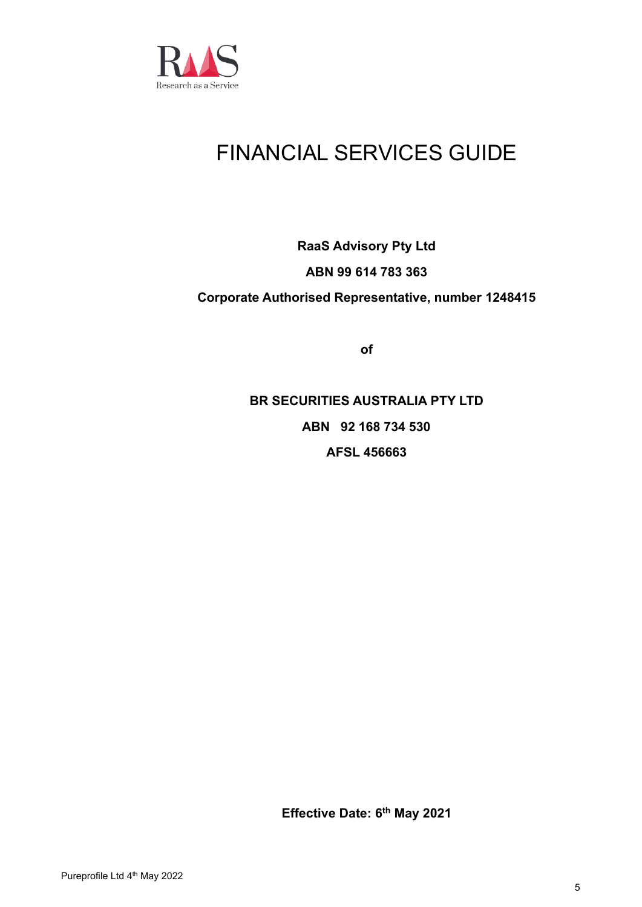

# FINANCIAL SERVICES GUIDE

# **RaaS Advisory Pty Ltd ABN 99 614 783 363 Corporate Authorised Representative, number 1248415**

**of**

**BR SECURITIES AUSTRALIA PTY LTD ABN 92 168 734 530 AFSL 456663**

**Effective Date: 6 th May 2021**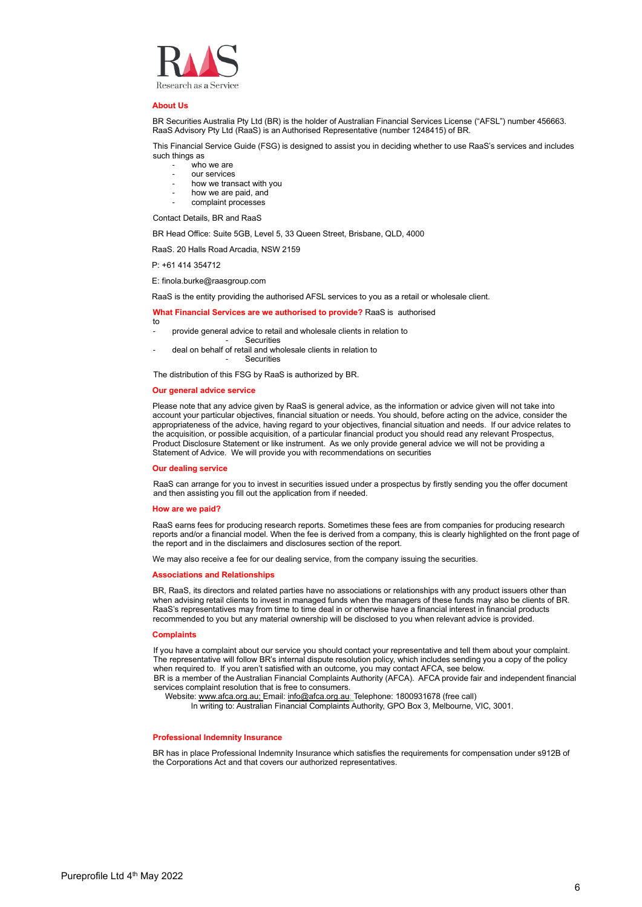

#### **About Us**

BR Securities Australia Pty Ltd (BR) is the holder of Australian Financial Services License ("AFSL") number 456663. RaaS Advisory Pty Ltd (RaaS) is an Authorised Representative (number 1248415) of BR.

This Financial Service Guide (FSG) is designed to assist you in deciding whether to use RaaS's services and includes such things as

- who we are
- our services
- how we transact with you
- how we are paid, and
- complaint processes

Contact Details, BR and RaaS

BR Head Office: Suite 5GB, Level 5, 33 Queen Street, Brisbane, QLD, 4000

RaaS. 20 Halls Road Arcadia, NSW 2159

P: +61 414 354712

E: finola.burke@raasgroup.com

RaaS is the entity providing the authorised AFSL services to you as a retail or wholesale client.

#### **What Financial Services are we authorised to provide?** RaaS is authorised

- to provide general advice to retail and wholesale clients in relation to
- **Securities**
- deal on behalf of retail and wholesale clients in relation to **Securities**

The distribution of this FSG by RaaS is authorized by BR.

#### **Our general advice service**

Please note that any advice given by RaaS is general advice, as the information or advice given will not take into account your particular objectives, financial situation or needs. You should, before acting on the advice, consider the appropriateness of the advice, having regard to your objectives, financial situation and needs. If our advice relates to the acquisition, or possible acquisition, of a particular financial product you should read any relevant Prospectus, Product Disclosure Statement or like instrument. As we only provide general advice we will not be providing a Statement of Advice. We will provide you with recommendations on securities

#### **Our dealing service**

RaaS can arrange for you to invest in securities issued under a prospectus by firstly sending you the offer document and then assisting you fill out the application from if needed.

#### **How are we paid?**

RaaS earns fees for producing research reports. Sometimes these fees are from companies for producing research reports and/or a financial model. When the fee is derived from a company, this is clearly highlighted on the front page of the report and in the disclaimers and disclosures section of the report.

We may also receive a fee for our dealing service, from the company issuing the securities.

#### **Associations and Relationships**

BR, RaaS, its directors and related parties have no associations or relationships with any product issuers other than when advising retail clients to invest in managed funds when the managers of these funds may also be clients of BR. RaaS's representatives may from time to time deal in or otherwise have a financial interest in financial products recommended to you but any material ownership will be disclosed to you when relevant advice is provided.

#### **Complaints**

If you have a complaint about our service you should contact your representative and tell them about your complaint. The representative will follow BR's internal dispute resolution policy, which includes sending you a copy of the policy when required to. If you aren't satisfied with an outcome, you may contact AFCA, see below. BR is a member of the Australian Financial Complaints Authority (AFCA). AFCA provide fair and independent financial services complaint resolution that is free to consumers.

Website[: www.afca.org.au;](http://www.afca.org.au/) Email: [info@afca.org.au;](mailto:info@afca.org.au) Telephone: 1800931678 (free call)

In writing to: Australian Financial Complaints Authority, GPO Box 3, Melbourne, VIC, 3001.

#### **Professional Indemnity Insurance**

BR has in place Professional Indemnity Insurance which satisfies the requirements for compensation under s912B of the Corporations Act and that covers our authorized representatives.